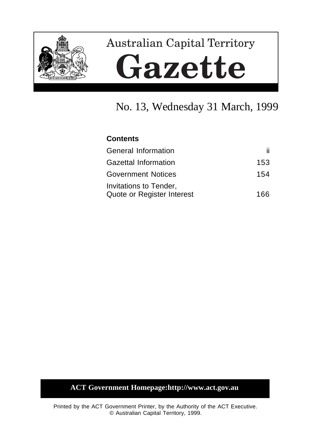

# **Australian Capital Territory** Gazette

# No. 13, Wednesday 31 March, 1999

## **Contents**

| <b>General Information</b>                           | ii.  |
|------------------------------------------------------|------|
| <b>Gazettal Information</b>                          | 153  |
| <b>Government Notices</b>                            | 154  |
| Invitations to Tender,<br>Quote or Register Interest | 166. |

## **ACT Government Homepage:http://www.act.gov.au**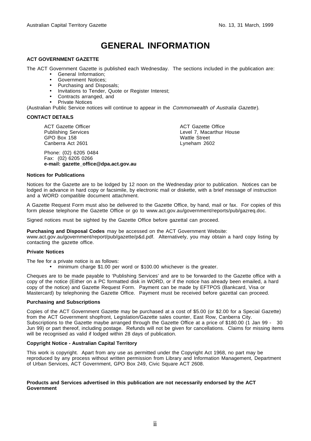# **GENERAL INFORMATION**

#### **ACT GOVERNMENT GAZETTE**

The ACT Government Gazette is published each Wednesday. The sections included in the publication are:

- General Information;
- Government Notices;
- Purchasing and Disposals;
- Invitations to Tender, Quote or Register Interest;
- Contracts arranged, and
- Private Notices

(Australian Public Service notices will continue to appear in the Commonwealth of Australia Gazette).

#### **CONTACT DETAILS**

ACT Gazette Officer Publishing Services GPO Box 158 Canberra Act 2601

Phone: (02) 6205 0484 Fax: (02) 6205 0266 **e-mail: gazette\_office@dpa.act.gov.au** ACT Gazette Office Level 7, Macarthur House Wattle Street Lyneham 2602

#### **Notices for Publications**

Notices for the Gazette are to be lodged by 12 noon on the Wednesday prior to publication. Notices can be lodged in advance in hard copy or facsimile, by electronic mail or diskette, with a brief message of instruction and a WORD compatible document attachment.

A Gazette Request Form must also be delivered to the Gazette Office, by hand, mail or fax. For copies of this form please telephone the Gazette Office or go to www.act.gov.au/government/reports/pub/gazreq.doc.

Signed notices must be sighted by the Gazette Office before gazettal can proceed.

**Purchasing and Disposal Codes** may be accessed on the ACT Government Website:

www.act.gov.au/government/report/pub/gazette/p&d.pdf. Alternatively, you may obtain a hard copy listing by contacting the gazette office.

#### **Private Notices**

The fee for a private notice is as follows:

• minimum charge \$1.00 per word or \$100.00 whichever is the greater.

Cheques are to be made payable to 'Publishing Services' and are to be forwarded to the Gazette office with a copy of the notice (Either on a PC formatted disk in WORD, or if the notice has already been emailed, a hard copy of the notice) and Gazette Request Form. Payment can be made by EFTPOS (Bankcard, Visa or Mastercard) by telephoning the Gazette Office. Payment must be received before gazettal can proceed.

#### **Purchasing and Subscriptions**

Copies of the ACT Government Gazette may be purchased at a cost of \$5.00 (or \$2.00 for a Special Gazette) from the ACT Government shopfront, Legislation/Gazette sales counter, East Row, Canberra City. Subscriptions to the Gazette maybe arranged through the Gazette Office at a price of \$180.00 (1 Jan 99 - 30 Jun 99) or part thereof, including postage. Refunds will not be given for cancellations. Claims for missing items will be recognised as valid if lodged within 28 days of publication.

#### **Copyright Notice - Australian Capital Territory**

This work is copyright. Apart from any use as permitted under the Copyright Act 1968, no part may be reproduced by any process without written permission from Library and Information Management, Department of Urban Services, ACT Government, GPO Box 249, Civic Square ACT 2608.

#### **Products and Services advertised in this publication are not necessarily endorsed by the ACT Government**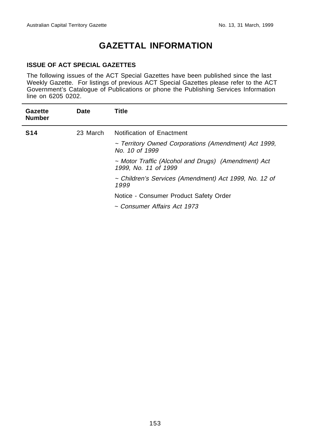# **GAZETTAL INFORMATION**

#### **ISSUE OF ACT SPECIAL GAZETTES**

The following issues of the ACT Special Gazettes have been published since the last Weekly Gazette. For listings of previous ACT Special Gazettes please refer to the ACT Government's Catalogue of Publications or phone the Publishing Services Information line on 6205 0202.

| <b>Gazette</b><br><b>Number</b> | Date     | Title                                                                       |
|---------------------------------|----------|-----------------------------------------------------------------------------|
| <b>S14</b>                      | 23 March | Notification of Enactment                                                   |
|                                 |          | ~ Territory Owned Corporations (Amendment) Act 1999,<br>No. 10 of 1999      |
|                                 |          | ~ Motor Traffic (Alcohol and Drugs) (Amendment) Act<br>1999, No. 11 of 1999 |
|                                 |          | ~ Children's Services (Amendment) Act 1999, No. 12 of<br>1999               |
|                                 |          | Notice - Consumer Product Safety Order                                      |
|                                 |          | ~ Consumer Affairs Act 1973                                                 |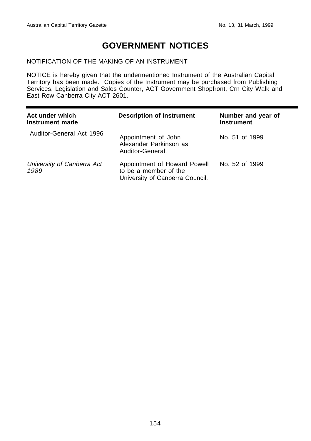## **GOVERNMENT NOTICES**

#### NOTIFICATION OF THE MAKING OF AN INSTRUMENT

NOTICE is hereby given that the undermentioned Instrument of the Australian Capital Territory has been made. Copies of the Instrument may be purchased from Publishing Services, Legislation and Sales Counter, ACT Government Shopfront, Crn City Walk and East Row Canberra City ACT 2601.

| Act under which<br>Instrument made | <b>Description of Instrument</b>                                                         | Number and year of<br><b>Instrument</b> |
|------------------------------------|------------------------------------------------------------------------------------------|-----------------------------------------|
| Auditor-General Act 1996           | Appointment of John<br>Alexander Parkinson as<br>Auditor-General.                        | No. 51 of 1999                          |
| University of Canberra Act<br>1989 | Appointment of Howard Powell<br>to be a member of the<br>University of Canberra Council. | No. 52 of 1999                          |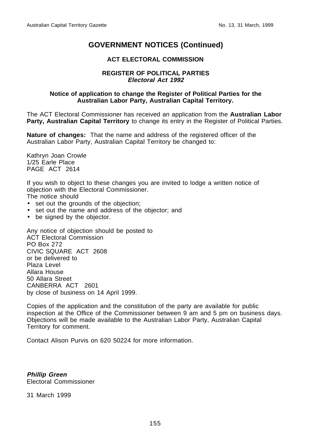#### **ACT ELECTORAL COMMISSION**

#### **REGISTER OF POLITICAL PARTIES Electoral Act 1992**

#### **Notice of application to change the Register of Political Parties for the Australian Labor Party, Australian Capital Territory.**

The ACT Electoral Commissioner has received an application from the **Australian Labor Party, Australian Capital Territory** to change its entry in the Register of Political Parties.

**Nature of changes:** That the name and address of the registered officer of the Australian Labor Party, Australian Capital Territory be changed to:

Kathryn Joan Crowle 1/25 Earle Place PAGE ACT 2614

If you wish to object to these changes you are invited to lodge a written notice of objection with the Electoral Commissioner.

The notice should

- set out the grounds of the objection;
- set out the name and address of the objector; and
- be signed by the objector.

Any notice of objection should be posted to ACT Electoral Commission PO Box 272 CIVIC SQUARE ACT 2608 or be delivered to Plaza Level Allara House 50 Allara Street CANBERRA ACT 2601 by close of business on 14 April 1999.

Copies of the application and the constitution of the party are available for public inspection at the Office of the Commissioner between 9 am and 5 pm on business days. Objections will be made available to the Australian Labor Party, Australian Capital Territory for comment.

Contact Alison Purvis on 620 50224 for more information.

**Phillip Green** Electoral Commissioner

31 March 1999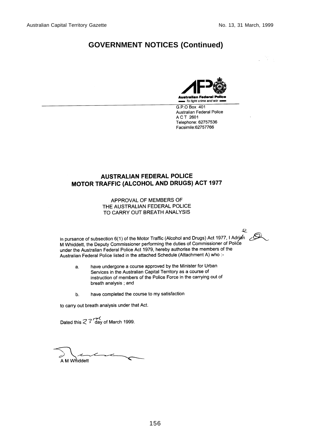e

## **GOVERNMENT NOTICES (Continued)**



G.P.O Box 401 **Australian Federal Police** A C T 2601 Telephone: 62757536 Facsimile:62757766

#### **AUSTRALIAN FEDERAL POLICE** MOTOR TRAFFIC (ALCOHOL AND DRUGS) ACT 1977

APPROVAL OF MEMBERS OF THE AUSTRALIAN FEDERAL POLICE TO CARRY OUT BREATH ANALYSIS

In pursance of subsection 6(1) of the Motor Traffic (Alcohol and Drugs) Act 1977, I Adrian  $\mathcal{Q}$ M Whiddett, the Deputy Commissioner performing the duties of Commissioner of Police under the Australian Federal Police Act 1979, hereby authorise the members of the Australian Federal Police listed in the attached Schedule (Attachment A) who :-

- have undergone a course approved by the Minister for Urban a. Services in the Australian Capital Territory as a course of instruction of members of the Police Force in the carrying out of breath analysis; and
- have completed the course to my satisfaction b.

to carry out breath analysis under that Act.

Dated this  $\mathcal{Z}$  3 day of March 1999.

Ł A M Whiddett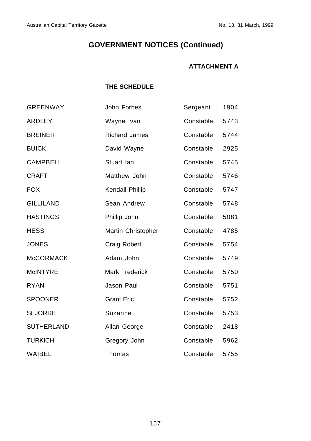## **ATTACHMENT A**

## **THE SCHEDULE**

| <b>GREENWAY</b>   | John Forbes           | Sergeant  | 1904 |
|-------------------|-----------------------|-----------|------|
| <b>ARDLEY</b>     | Wayne Ivan            | Constable | 5743 |
| <b>BREINER</b>    | <b>Richard James</b>  | Constable | 5744 |
| <b>BUICK</b>      | David Wayne           | Constable | 2925 |
| <b>CAMPBELL</b>   | Stuart Ian            | Constable | 5745 |
| <b>CRAFT</b>      | Matthew John          | Constable | 5746 |
| <b>FOX</b>        | Kendall Phillip       | Constable | 5747 |
| <b>GILLILAND</b>  | Sean Andrew           | Constable | 5748 |
| <b>HASTINGS</b>   | Phillip John          | Constable | 5081 |
| <b>HESS</b>       | Martin Christopher    | Constable | 4785 |
| <b>JONES</b>      | Craig Robert          | Constable | 5754 |
| <b>McCORMACK</b>  | Adam John             | Constable | 5749 |
| <b>McINTYRE</b>   | <b>Mark Frederick</b> | Constable | 5750 |
| <b>RYAN</b>       | Jason Paul            | Constable | 5751 |
| <b>SPOONER</b>    | <b>Grant Eric</b>     | Constable | 5752 |
| St JORRE          | Suzanne               | Constable | 5753 |
| <b>SUTHERLAND</b> | Allan George          | Constable | 2418 |
| <b>TURKICH</b>    | Gregory John          | Constable | 5962 |
| WAIBEL            | Thomas                | Constable | 5755 |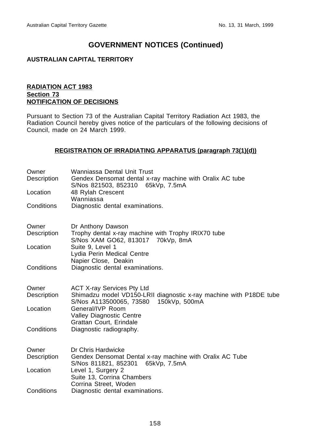#### **AUSTRALIAN CAPITAL TERRITORY**

#### **RADIATION ACT 1983 Section 73 NOTIFICATION OF DECISIONS**

Pursuant to Section 73 of the Australian Capital Territory Radiation Act 1983, the Radiation Council hereby gives notice of the particulars of the following decisions of Council, made on 24 March 1999.

#### **REGISTRATION OF IRRADIATING APPARATUS (paragraph 73(1)(d))**

| Owner<br>Description | Wanniassa Dental Unit Trust<br>Gendex Densomat dental x-ray machine with Oralix AC tube                 |
|----------------------|---------------------------------------------------------------------------------------------------------|
| Location             | S/Nos 821503, 852310 65kVp, 7.5mA<br>48 Rylah Crescent<br>Wanniassa                                     |
| Conditions           | Diagnostic dental examinations.                                                                         |
| Owner                | Dr Anthony Dawson                                                                                       |
| Description          | Trophy dental x-ray machine with Trophy IRIX70 tube<br>S/Nos XAM GO62, 813017 70kVp, 8mA                |
| Location             | Suite 9, Level 1<br>Lydia Perin Medical Centre                                                          |
| Conditions           | Napier Close, Deakin<br>Diagnostic dental examinations.                                                 |
| Owner<br>Description | <b>ACT X-ray Services Pty Ltd</b><br>Shimadzu model VD150-LRII diagnostic x-ray machine with P18DE tube |
|                      | S/Nos A113500065, 73580<br>150kVp, 500mA                                                                |
| Location             | General/IVP Room<br><b>Valley Diagnostic Centre</b><br>Grattan Court, Erindale                          |
| Conditions           | Diagnostic radiography.                                                                                 |
| Owner                | Dr Chris Hardwicke                                                                                      |
| Description          | Gendex Densomat Dental x-ray machine with Oralix AC Tube<br>S/Nos 811821, 852301<br>65kVp, 7.5mA        |
| Location             | Level 1, Surgery 2<br>Suite 13, Corrina Chambers<br>Corrina Street, Woden                               |
| Conditions           | Diagnostic dental examinations.                                                                         |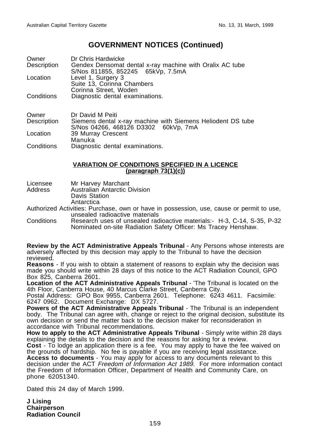| Owner                      | Dr Chris Hardwicke                                       |
|----------------------------|----------------------------------------------------------|
| Description                | Gendex Densomat dental x-ray machine with Oralix AC tube |
|                            | S/Nos 811855, 852245 65kVp, 7.5mA                        |
| Location                   | Level 1, Surgery 3                                       |
|                            | Suite 13, Corinna Chambers                               |
|                            | Corinna Street, Woden                                    |
| Conditions                 | Diagnostic dental examinations.                          |
|                            |                                                          |
|                            |                                                          |
| $\bigcap_{x\in\mathbb{R}}$ |                                                          |

| Owner       | Dr David M Peiti                                            |
|-------------|-------------------------------------------------------------|
| Description | Siemens dental x-ray machine with Siemens Heliodent DS tube |
|             | S/Nos 04266, 468126 D3302 60kVp, 7mA                        |
| Location    | 39 Murray Crescent                                          |
|             | Manuka                                                      |
| Conditions  | Diagnostic dental examinations.                             |

#### **VARIATION OF CONDITIONS SPECIFIED IN A LICENCE (paragraph 73(1)(c))**

- Licensee Mr Harvey Marchant
- Address Australian Antarctic Division Davis Station

**Antarctica** 

Authorized Activities: Purchase, own or have in possession, use, cause or permit to use, unsealed radioactive materials

Conditions Research uses of unsealed radioactive materials:- H-3, C-14, S-35, P-32 Nominated on-site Radiation Safety Officer: Ms Tracey Henshaw.

**Review by the ACT Administrative Appeals Tribunal** - Any Persons whose interests are adversely affected by this decision may apply to the Tribunal to have the decision reviewed.

**Reasons** - If you wish to obtain a statement of reasons to explain why the decision was made you should write within 28 days of this notice to the ACT Radiation Council, GPO Box 825, Canberra 2601.

**Location of the ACT Administrative Appeals Tribunal** - 'The Tribunal is located on the 4th Floor, Canberra House, 40 Marcus Clarke Street, Canberra City.

Postal Address: GPO Box 9955, Canberra 2601. Telephone: 6243 4611. Facsimile: 6247 0962. Document Exchange: DX 5727.

**Powers of the ACT Administrative Appeals Tribunal** - The Tribunal is an independent body. The Tribunal can agree with, change or reject to the original decision, substitute its own decision or send the matter back to the decision maker for reconsideration in accordance with Tribunal recommendations.

**How to apply to the ACT Administrative Appeals Tribunal** - Simply write within 28 days explaining the details to the decision and the reasons for asking for a review.

**Cost** - To lodge an application there is a fee. You may apply to have the fee waived on the grounds of hardship. No fee is payable if you are receiving legal assistance.

**Access to documents** - You may apply for access to any documents relevant to this decision under the ACT Freedom of Information Act 1989. For more information contact the Freedom of Information Officer, Department of Health and Community Care, on phone 62051340.

Dated this 24 day of March 1999.

**J Lising Chairperson Radiation Council**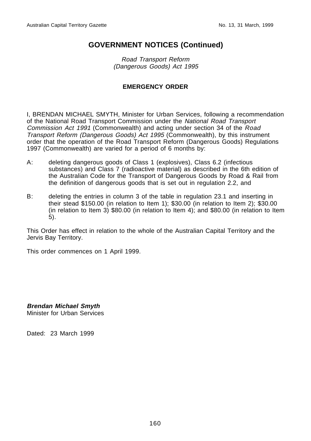Road Transport Reform (Dangerous Goods) Act 1995

#### **EMERGENCY ORDER**

I, BRENDAN MICHAEL SMYTH, Minister for Urban Services, following a recommendation of the National Road Transport Commission under the National Road Transport Commission Act 1991 (Commonwealth) and acting under section 34 of the Road Transport Reform (Dangerous Goods) Act 1995 (Commonwealth), by this instrument order that the operation of the Road Transport Reform (Dangerous Goods) Regulations 1997 (Commonwealth) are varied for a period of 6 months by:

- A: deleting dangerous goods of Class 1 (explosives), Class 6.2 (infectious substances) and Class 7 (radioactive material) as described in the 6th edition of the Australian Code for the Transport of Dangerous Goods by Road & Rail from the definition of dangerous goods that is set out in regulation 2.2, and
- B: deleting the entries in column 3 of the table in regulation 23.1 and inserting in their stead \$150.00 (in relation to Item 1); \$30.00 (in relation to Item 2); \$30.00 (in relation to Item 3) \$80.00 (in relation to Item 4); and \$80.00 (in relation to Item 5).

This Order has effect in relation to the whole of the Australian Capital Territory and the Jervis Bay Territory.

This order commences on 1 April 1999.

**Brendan Michael Smyth** Minister for Urban Services

Dated: 23 March 1999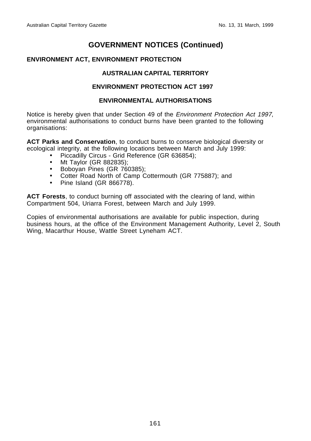#### **ENVIRONMENT ACT, ENVIRONMENT PROTECTION**

#### **AUSTRALIAN CAPITAL TERRITORY**

#### **ENVIRONMENT PROTECTION ACT 1997**

#### **ENVIRONMENTAL AUTHORISATIONS**

Notice is hereby given that under Section 49 of the Environment Protection Act 1997, environmental authorisations to conduct burns have been granted to the following organisations:

**ACT Parks and Conservation**, to conduct burns to conserve biological diversity or ecological integrity, at the following locations between March and July 1999:

- Piccadilly Circus Grid Reference (GR 636854);
- Mt Taylor (GR 882835);
- Boboyan Pines (GR 760385);
- Cotter Road North of Camp Cottermouth (GR 775887); and
- Pine Island (GR 866778).

**ACT Forests**, to conduct burning off associated with the clearing of land, within Compartment 504, Uriarra Forest, between March and July 1999.

Copies of environmental authorisations are available for public inspection, during business hours, at the office of the Environment Management Authority, Level 2, South Wing, Macarthur House, Wattle Street Lyneham ACT.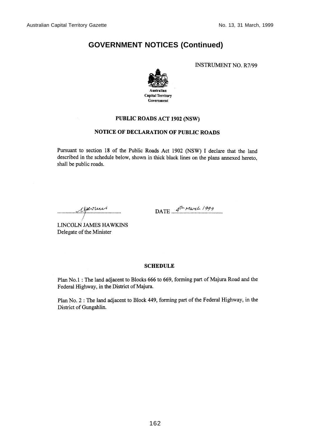**INSTRUMENT NO. R7/99** 



#### PUBLIC ROADS ACT 1902 (NSW)

#### **NOTICE OF DECLARATION OF PUBLIC ROADS**

Pursuant to section 18 of the Public Roads Act 1902 (NSW) I declare that the land described in the schedule below, shown in thick black lines on the plans annexed hereto. shall be public roads.

reportuni

DATE  $4^{\text{th}}$  March 1999

**LINCOLN JAMES HAWKINS** Delegate of the Minister

#### **SCHEDULE**

Plan No.1 : The land adjacent to Blocks 666 to 669, forming part of Majura Road and the Federal Highway, in the District of Majura.

Plan No. 2 : The land adjacent to Block 449, forming part of the Federal Highway, in the District of Gungahlin.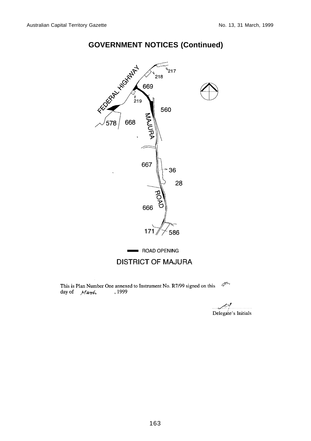

 $\mathcal{J}^{\prime\prime}$ This is Plan Number One annexed to Instrument No. R7/99 signed on this day of March , 1999

Delegate's Initials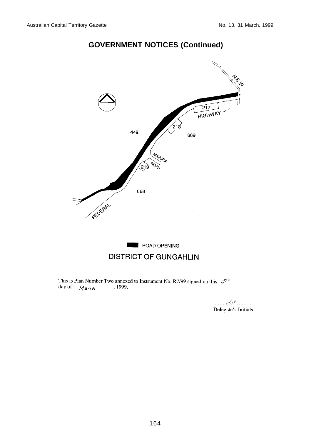

This is Plan Number Two annexed to Instrument No. R7/99 signed on this  $\mathcal{A}^{\gamma A}$ , 1999. day of  $Mark$ 

 $16$ Delegate's Initials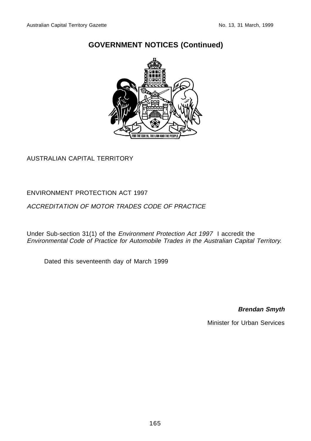

## AUSTRALIAN CAPITAL TERRITORY

#### ENVIRONMENT PROTECTION ACT 1997

### ACCREDITATION OF MOTOR TRADES CODE OF PRACTICE

Under Sub-section 31(1) of the Environment Protection Act 1997 I accredit the Environmental Code of Practice for Automobile Trades in the Australian Capital Territory.

Dated this seventeenth day of March 1999

**Brendan Smyth**

Minister for Urban Services